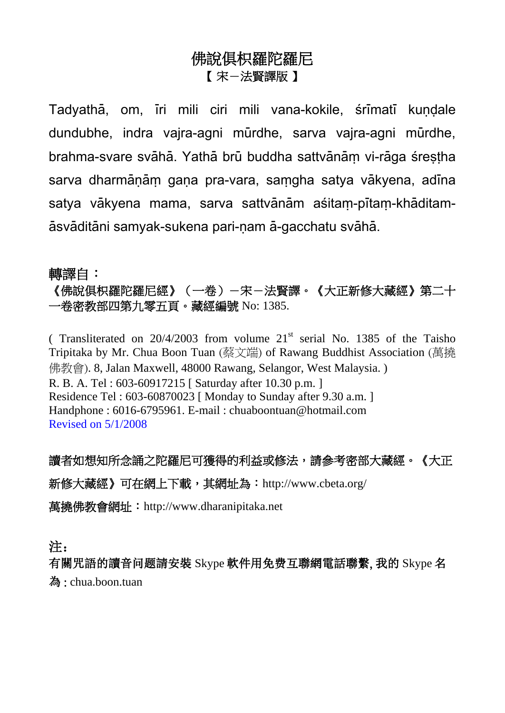## 佛說俱枳羅陀羅尼 【 宋-法賢譯版 】

Tadyathā, om, iri mili ciri mili vana-kokile, srimati kundale dundubhe, indra vajra-agni mūrdhe, sarva vajra-agni mūrdhe, brahma-svare svāhā. Yathā brū buddha sattvānām vi-rāga śrestha sarva dharmānām gana pra-vara, samgha satya vākyena, adīna satya vākyena mama, sarva sattvānām asitam-pītam-khāditamāsvāditāni samvak-sukena pari-nam ā-gacchatu svāhā.

#### 轉譯自:

《佛說俱枳羅陀羅尼經》(一卷)-宋-法賢譯。《大正新修大藏經》第二十 一卷密教部四第九零五頁。藏經編號 No: 1385.

( Transliterated on  $20/4/2003$  from volume  $21<sup>st</sup>$  serial No. 1385 of the Taisho Tripitaka by Mr. Chua Boon Tuan (蔡文端) of Rawang Buddhist Association (萬撓 佛教會). 8, Jalan Maxwell, 48000 Rawang, Selangor, West Malaysia. ) R. B. A. Tel : 603-60917215 [ Saturday after 10.30 p.m. ] Residence Tel : 603-60870023 [ Monday to Sunday after 9.30 a.m. ] Handphone : 6016-6795961. E-mail : chuaboontuan@hotmail.com Revised on 5/1/2008

讀者如想知所念誦之陀羅尼可獲得的利益或修法,請參考密部大藏經。《大正 新修大藏經》可在網上下載,其網址為: <http://www.cbeta.org/> 萬撓佛教會網址:[http://www.dharanipitaka.net](http://www.dharanipitaka.net/)

注:

有關咒語的讀音问题請安裝 Skype 軟件用免费互聯網電話聯繫, 我的 Skype 名 為 : chua.boon.tuan